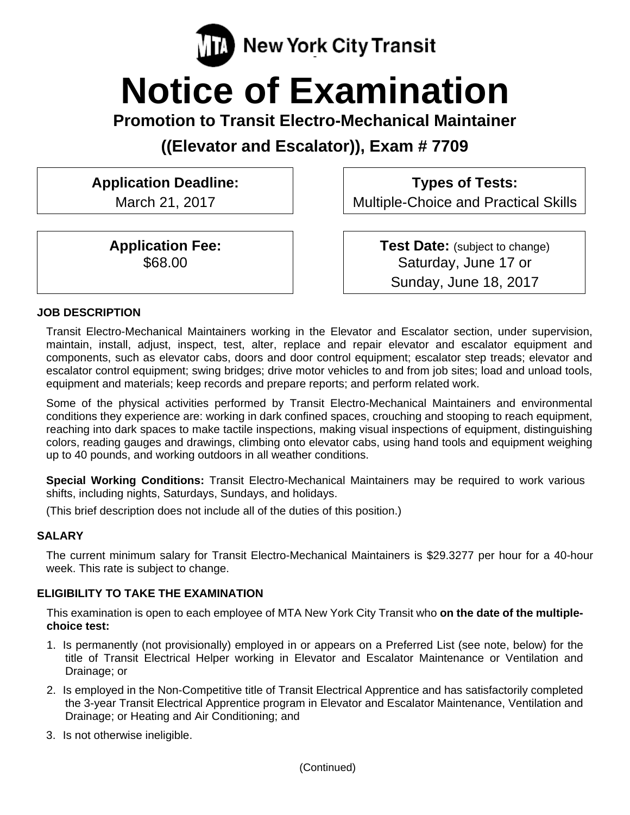

# **Notice of Examination**

**Promotion to Transit Electro-Mechanical Maintainer** 

**((Elevator and Escalator)), Exam # 7709** 

# **Application Deadline:**

March 21, 2017

**Application Fee:**  \$68.00

**Types of Tests:** 

Multiple-Choice and Practical Skills

**Test Date:** (subject to change) Saturday, June 17 or Sunday, June 18, 2017

#### **JOB DESCRIPTION**

Transit Electro-Mechanical Maintainers working in the Elevator and Escalator section, under supervision, maintain, install, adjust, inspect, test, alter, replace and repair elevator and escalator equipment and components, such as elevator cabs, doors and door control equipment; escalator step treads; elevator and escalator control equipment; swing bridges; drive motor vehicles to and from job sites; load and unload tools, equipment and materials; keep records and prepare reports; and perform related work.

Some of the physical activities performed by Transit Electro-Mechanical Maintainers and environmental conditions they experience are: working in dark confined spaces, crouching and stooping to reach equipment, reaching into dark spaces to make tactile inspections, making visual inspections of equipment, distinguishing colors, reading gauges and drawings, climbing onto elevator cabs, using hand tools and equipment weighing up to 40 pounds, and working outdoors in all weather conditions.

**Special Working Conditions:** Transit Electro-Mechanical Maintainers may be required to work various shifts, including nights, Saturdays, Sundays, and holidays.

(This brief description does not include all of the duties of this position.)

#### **SALARY**

The current minimum salary for Transit Electro-Mechanical Maintainers is \$29.3277 per hour for a 40-hour week. This rate is subject to change.

#### **ELIGIBILITY TO TAKE THE EXAMINATION**

This examination is open to each employee of MTA New York City Transit who **on the date of the multiplechoice test:** 

- 1. Is permanently (not provisionally) employed in or appears on a Preferred List (see note, below) for the title of Transit Electrical Helper working in Elevator and Escalator Maintenance or Ventilation and Drainage; or
- 2. Is employed in the Non-Competitive title of Transit Electrical Apprentice and has satisfactorily completed the 3-year Transit Electrical Apprentice program in Elevator and Escalator Maintenance, Ventilation and Drainage; or Heating and Air Conditioning; and
- 3. Is not otherwise ineligible.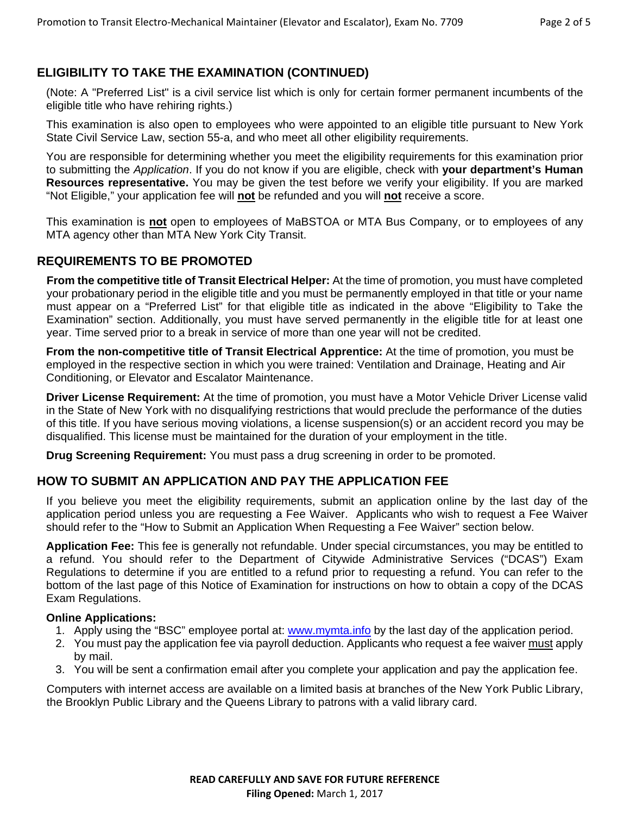## **ELIGIBILITY TO TAKE THE EXAMINATION (CONTINUED)**

(Note: A "Preferred List" is a civil service list which is only for certain former permanent incumbents of the eligible title who have rehiring rights.)

This examination is also open to employees who were appointed to an eligible title pursuant to New York State Civil Service Law, section 55-a, and who meet all other eligibility requirements.

You are responsible for determining whether you meet the eligibility requirements for this examination prior to submitting the *Application*. If you do not know if you are eligible, check with **your department's Human Resources representative.** You may be given the test before we verify your eligibility. If you are marked "Not Eligible," your application fee will **not** be refunded and you will **not** receive a score.

This examination is **not** open to employees of MaBSTOA or MTA Bus Company, or to employees of any MTA agency other than MTA New York City Transit.

#### **REQUIREMENTS TO BE PROMOTED**

**From the competitive title of Transit Electrical Helper:** At the time of promotion, you must have completed your probationary period in the eligible title and you must be permanently employed in that title or your name must appear on a "Preferred List" for that eligible title as indicated in the above "Eligibility to Take the Examination" section. Additionally, you must have served permanently in the eligible title for at least one year. Time served prior to a break in service of more than one year will not be credited.

**From the non-competitive title of Transit Electrical Apprentice:** At the time of promotion, you must be employed in the respective section in which you were trained: Ventilation and Drainage, Heating and Air Conditioning, or Elevator and Escalator Maintenance.

**Driver License Requirement:** At the time of promotion, you must have a Motor Vehicle Driver License valid in the State of New York with no disqualifying restrictions that would preclude the performance of the duties of this title. If you have serious moving violations, a license suspension(s) or an accident record you may be disqualified. This license must be maintained for the duration of your employment in the title.

**Drug Screening Requirement:** You must pass a drug screening in order to be promoted.

#### **HOW TO SUBMIT AN APPLICATION AND PAY THE APPLICATION FEE**

If you believe you meet the eligibility requirements, submit an application online by the last day of the application period unless you are requesting a Fee Waiver. Applicants who wish to request a Fee Waiver should refer to the "How to Submit an Application When Requesting a Fee Waiver" section below.

**Application Fee:** This fee is generally not refundable. Under special circumstances, you may be entitled to a refund. You should refer to the Department of Citywide Administrative Services ("DCAS") Exam Regulations to determine if you are entitled to a refund prior to requesting a refund. You can refer to the bottom of the last page of this Notice of Examination for instructions on how to obtain a copy of the DCAS Exam Regulations.

#### **Online Applications:**

- 1. Apply using the "BSC" employee portal at: www.mymta.info by the last day of the application period.
- 2. You must pay the application fee via payroll deduction. Applicants who request a fee waiver must apply by mail.
- 3. You will be sent a confirmation email after you complete your application and pay the application fee.

Computers with internet access are available on a limited basis at branches of the New York Public Library, the Brooklyn Public Library and the Queens Library to patrons with a valid library card.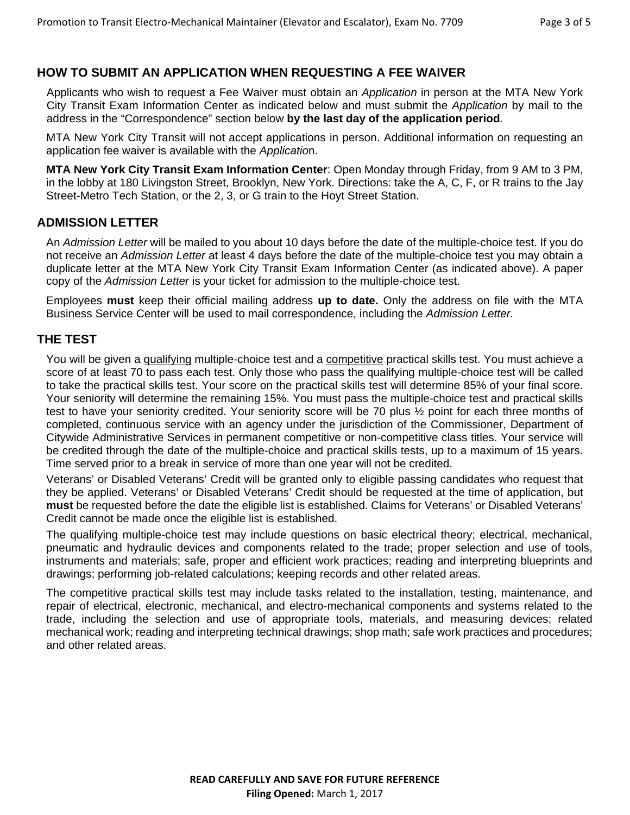### **HOW TO SUBMIT AN APPLICATION WHEN REQUESTING A FEE WAIVER**

Applicants who wish to request a Fee Waiver must obtain an *Application* in person at the MTA New York City Transit Exam Information Center as indicated below and must submit the *Application* by mail to the address in the "Correspondence" section below **by the last day of the application period**.

MTA New York City Transit will not accept applications in person. Additional information on requesting an application fee waiver is available with the *Applicatio*n.

**MTA New York City Transit Exam Information Center**: Open Monday through Friday, from 9 AM to 3 PM, in the lobby at 180 Livingston Street, Brooklyn, New York. Directions: take the A, C, F, or R trains to the Jay Street-Metro Tech Station, or the 2, 3, or G train to the Hoyt Street Station.

#### **ADMISSION LETTER**

An *Admission Letter* will be mailed to you about 10 days before the date of the multiple-choice test. If you do not receive an *Admission Letter* at least 4 days before the date of the multiple-choice test you may obtain a duplicate letter at the MTA New York City Transit Exam Information Center (as indicated above). A paper copy of the *Admission Letter* is your ticket for admission to the multiple-choice test.

Employees **must** keep their official mailing address **up to date.** Only the address on file with the MTA Business Service Center will be used to mail correspondence, including the *Admission Letter.*

#### **THE TEST**

You will be given a qualifying multiple-choice test and a competitive practical skills test. You must achieve a score of at least 70 to pass each test. Only those who pass the qualifying multiple-choice test will be called to take the practical skills test. Your score on the practical skills test will determine 85% of your final score. Your seniority will determine the remaining 15%. You must pass the multiple-choice test and practical skills test to have your seniority credited. Your seniority score will be 70 plus ½ point for each three months of completed, continuous service with an agency under the jurisdiction of the Commissioner, Department of Citywide Administrative Services in permanent competitive or non-competitive class titles. Your service will be credited through the date of the multiple-choice and practical skills tests, up to a maximum of 15 years. Time served prior to a break in service of more than one year will not be credited.

Veterans' or Disabled Veterans' Credit will be granted only to eligible passing candidates who request that they be applied. Veterans' or Disabled Veterans' Credit should be requested at the time of application, but **must** be requested before the date the eligible list is established. Claims for Veterans' or Disabled Veterans' Credit cannot be made once the eligible list is established.

The qualifying multiple-choice test may include questions on basic electrical theory; electrical, mechanical, pneumatic and hydraulic devices and components related to the trade; proper selection and use of tools, instruments and materials; safe, proper and efficient work practices; reading and interpreting blueprints and drawings; performing job-related calculations; keeping records and other related areas.

The competitive practical skills test may include tasks related to the installation, testing, maintenance, and repair of electrical, electronic, mechanical, and electro-mechanical components and systems related to the trade, including the selection and use of appropriate tools, materials, and measuring devices; related mechanical work; reading and interpreting technical drawings; shop math; safe work practices and procedures; and other related areas.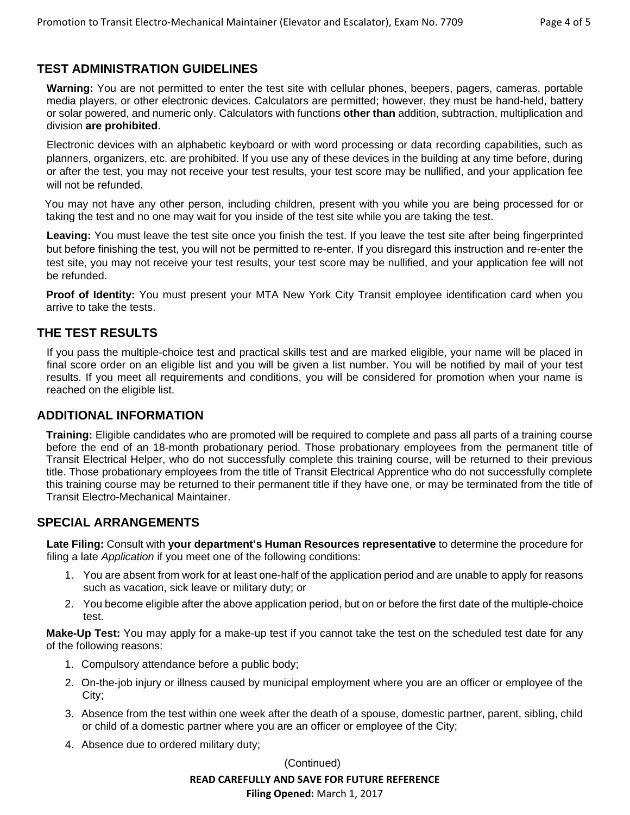### **TEST ADMINISTRATION GUIDELINES**

**Warning:** You are not permitted to enter the test site with cellular phones, beepers, pagers, cameras, portable media players, or other electronic devices. Calculators are permitted; however, they must be hand-held, battery or solar powered, and numeric only. Calculators with functions **other than** addition, subtraction, multiplication and division **are prohibited**.

Electronic devices with an alphabetic keyboard or with word processing or data recording capabilities, such as planners, organizers, etc. are prohibited. If you use any of these devices in the building at any time before, during or after the test, you may not receive your test results, your test score may be nullified, and your application fee will not be refunded.

 You may not have any other person, including children, present with you while you are being processed for or taking the test and no one may wait for you inside of the test site while you are taking the test.

**Leaving:** You must leave the test site once you finish the test. If you leave the test site after being fingerprinted but before finishing the test, you will not be permitted to re-enter. If you disregard this instruction and re-enter the test site, you may not receive your test results, your test score may be nullified, and your application fee will not be refunded.

**Proof of Identity:** You must present your MTA New York City Transit employee identification card when you arrive to take the tests.

#### **THE TEST RESULTS**

If you pass the multiple-choice test and practical skills test and are marked eligible, your name will be placed in final score order on an eligible list and you will be given a list number. You will be notified by mail of your test results. If you meet all requirements and conditions, you will be considered for promotion when your name is reached on the eligible list.

#### **ADDITIONAL INFORMATION**

**Training:** Eligible candidates who are promoted will be required to complete and pass all parts of a training course before the end of an 18-month probationary period. Those probationary employees from the permanent title of Transit Electrical Helper, who do not successfully complete this training course, will be returned to their previous title. Those probationary employees from the title of Transit Electrical Apprentice who do not successfully complete this training course may be returned to their permanent title if they have one, or may be terminated from the title of Transit Electro-Mechanical Maintainer.

#### **SPECIAL ARRANGEMENTS**

**Late Filing:** Consult with **your department's Human Resources representative** to determine the procedure for filing a late *Application* if you meet one of the following conditions:

- 1. You are absent from work for at least one-half of the application period and are unable to apply for reasons such as vacation, sick leave or military duty; or
- 2. You become eligible after the above application period, but on or before the first date of the multiple-choice test.

**Make-Up Test:** You may apply for a make-up test if you cannot take the test on the scheduled test date for any of the following reasons:

- 1. Compulsory attendance before a public body;
- 2. On-the-job injury or illness caused by municipal employment where you are an officer or employee of the City;
- 3. Absence from the test within one week after the death of a spouse, domestic partner, parent, sibling, child or child of a domestic partner where you are an officer or employee of the City;
- 4. Absence due to ordered military duty;

(Continued)

#### **READ CAREFULLY AND SAVE FOR FUTURE REFERENCE**

**Filing Opened:** March 1, 2017